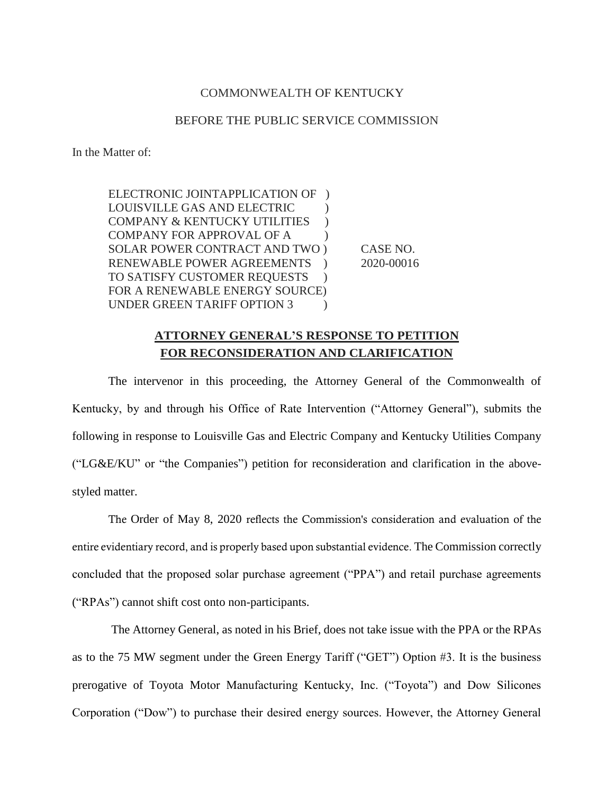## COMMONWEALTH OF KENTUCKY

## BEFORE THE PUBLIC SERVICE COMMISSION

In the Matter of:

ELECTRONIC JOINTAPPLICATION OF ) LOUISVILLE GAS AND ELECTRIC ) COMPANY & KENTUCKY UTILITIES ) COMPANY FOR APPROVAL OF A  $\qquad$  ) SOLAR POWER CONTRACT AND TWO ) CASE NO. RENEWABLE POWER AGREEMENTS ) 2020-00016 TO SATISFY CUSTOMER REQUESTS ) FOR A RENEWABLE ENERGY SOURCE) UNDER GREEN TARIFF OPTION 3

## **ATTORNEY GENERAL'S RESPONSE TO PETITION FOR RECONSIDERATION AND CLARIFICATION**

The intervenor in this proceeding, the Attorney General of the Commonwealth of Kentucky, by and through his Office of Rate Intervention ("Attorney General"), submits the following in response to Louisville Gas and Electric Company and Kentucky Utilities Company ("LG&E/KU" or "the Companies") petition for reconsideration and clarification in the abovestyled matter.

The Order of May 8, 2020 reflects the Commission's consideration and evaluation of the entire evidentiary record, and is properly based upon substantial evidence. The Commission correctly concluded that the proposed solar purchase agreement ("PPA") and retail purchase agreements ("RPAs") cannot shift cost onto non-participants.

The Attorney General, as noted in his Brief, does not take issue with the PPA or the RPAs as to the 75 MW segment under the Green Energy Tariff ("GET") Option #3. It is the business prerogative of Toyota Motor Manufacturing Kentucky, Inc. ("Toyota") and Dow Silicones Corporation ("Dow") to purchase their desired energy sources. However, the Attorney General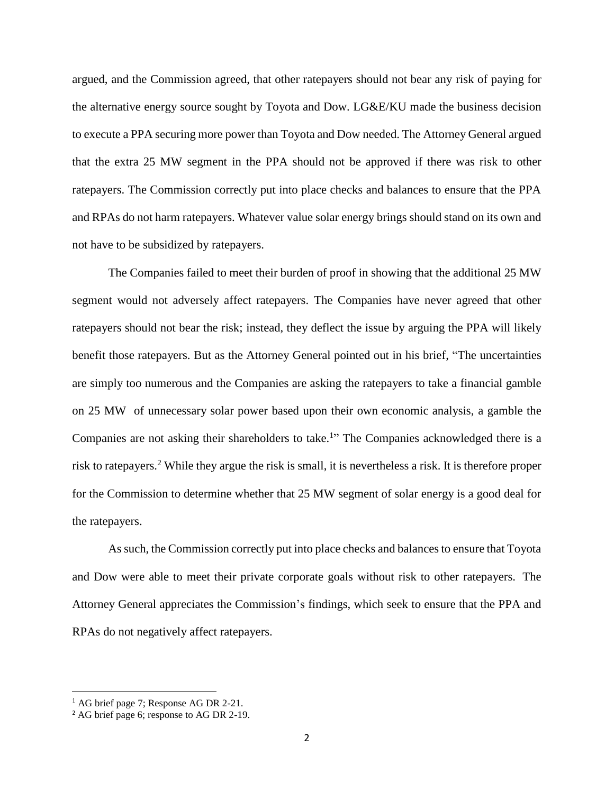argued, and the Commission agreed, that other ratepayers should not bear any risk of paying for the alternative energy source sought by Toyota and Dow. LG&E/KU made the business decision to execute a PPA securing more power than Toyota and Dow needed. The Attorney General argued that the extra 25 MW segment in the PPA should not be approved if there was risk to other ratepayers. The Commission correctly put into place checks and balances to ensure that the PPA and RPAs do not harm ratepayers. Whatever value solar energy brings should stand on its own and not have to be subsidized by ratepayers.

The Companies failed to meet their burden of proof in showing that the additional 25 MW segment would not adversely affect ratepayers. The Companies have never agreed that other ratepayers should not bear the risk; instead, they deflect the issue by arguing the PPA will likely benefit those ratepayers. But as the Attorney General pointed out in his brief, "The uncertainties are simply too numerous and the Companies are asking the ratepayers to take a financial gamble on 25 MW of unnecessary solar power based upon their own economic analysis, a gamble the Companies are not asking their shareholders to take.<sup>1</sup>" The Companies acknowledged there is a risk to ratepayers. <sup>2</sup> While they argue the risk is small, it is nevertheless a risk. It is therefore proper for the Commission to determine whether that 25 MW segment of solar energy is a good deal for the ratepayers.

As such, the Commission correctly put into place checks and balances to ensure that Toyota and Dow were able to meet their private corporate goals without risk to other ratepayers. The Attorney General appreciates the Commission's findings, which seek to ensure that the PPA and RPAs do not negatively affect ratepayers.

l

<sup>&</sup>lt;sup>1</sup> AG brief page 7; Response AG DR 2-21.

<sup>2</sup> AG brief page 6; response to AG DR 2-19.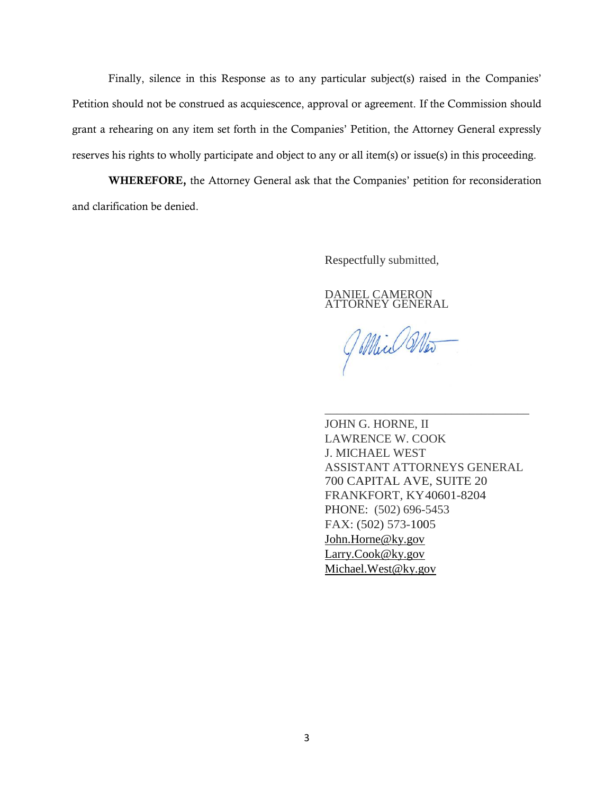Finally, silence in this Response as to any particular subject(s) raised in the Companies' Petition should not be construed as acquiescence, approval or agreement. If the Commission should grant a rehearing on any item set forth in the Companies' Petition, the Attorney General expressly reserves his rights to wholly participate and object to any or all item(s) or issue(s) in this proceeding.

WHEREFORE, the Attorney General ask that the Companies' petition for reconsideration and clarification be denied.

Respectfully submitted,

DANIEL CAMERON ATTORNEY GENERAL

Jillin Mos

JOHN G. HORNE, II LAWRENCE W. COOK J. MICHAEL WEST ASSISTANT ATTORNEYS GENERAL 700 CAPITAL AVE, SUITE 20 FRANKFORT, KY40601-8204 PHONE: (502) 696-5453 FAX: (502) 573-1005 [John.Horne@ky.gov](mailto:John.Horne@ky.gov) [Larry.Cook@ky.gov](mailto:Larry.Cook@ky.gov) [Michael.West@ky.gov](mailto:Michael.West@ky.gov)

\_\_\_\_\_\_\_\_\_\_\_\_\_\_\_\_\_\_\_\_\_\_\_\_\_\_\_\_\_\_\_\_\_\_